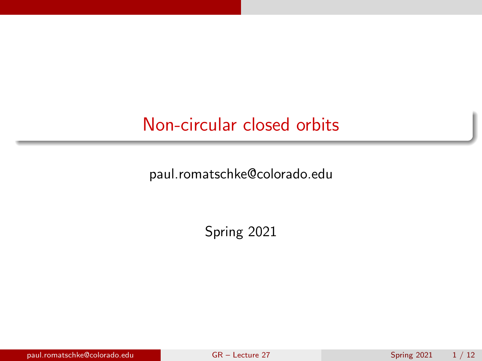## <span id="page-0-0"></span>Non-circular closed orbits

paul.romatschke@colorado.edu

Spring 2021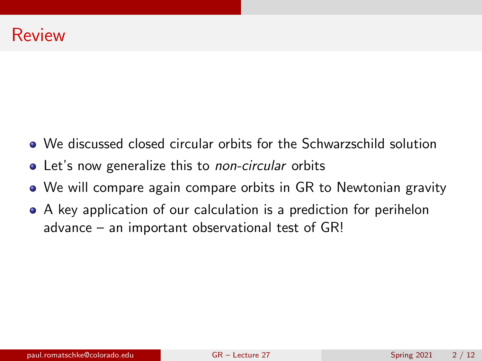- We discussed closed circular orbits for the Schwarzschild solution
- Let's now generalize this to *non-circular* orbits
- We will compare again compare orbits in GR to Newtonian gravity
- A key application of our calculation is a prediction for perihelon advance – an important observational test of GR!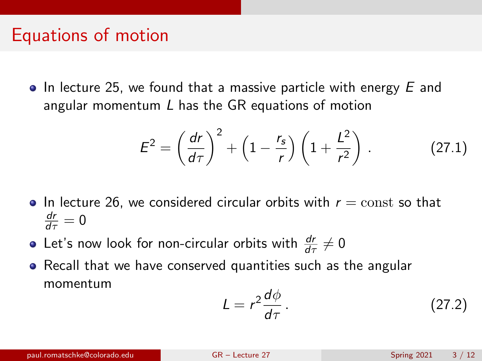### Equations of motion

 $\bullet$  In lecture 25, we found that a massive particle with energy E and angular momentum L has the GR equations of motion

$$
E^{2} = \left(\frac{dr}{d\tau}\right)^{2} + \left(1 - \frac{r_{s}}{r}\right)\left(1 + \frac{L^{2}}{r^{2}}\right). \tag{27.1}
$$

- In lecture 26, we considered circular orbits with  $r = const$  so that  $\frac{dr}{d\tau}=0$
- Let's now look for non-circular orbits with  $\frac{dr}{d\tau}\neq 0$
- Recall that we have conserved quantities such as the angular momentum

$$
L = r^2 \frac{d\phi}{d\tau} \,. \tag{27.2}
$$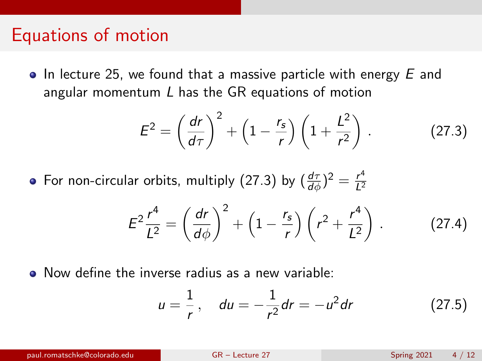#### Equations of motion

 $\bullet$  In lecture 25, we found that a massive particle with energy E and angular momentum L has the GR equations of motion

<span id="page-3-0"></span>
$$
E^{2} = \left(\frac{dr}{d\tau}\right)^{2} + \left(1 - \frac{r_{s}}{r}\right)\left(1 + \frac{L^{2}}{r^{2}}\right). \tag{27.3}
$$

For non-circular orbits, multiply [\(27.3\)](#page-3-0) by  $(\frac{d\tau}{d\phi})^2 = \frac{r^4}{L^2}$  $L^2$ 

$$
E^{2}\frac{r^{4}}{L^{2}} = \left(\frac{dr}{d\phi}\right)^{2} + \left(1 - \frac{r_{s}}{r}\right)\left(r^{2} + \frac{r^{4}}{L^{2}}\right).
$$
 (27.4)

Now define the inverse radius as a new variable:

$$
u = \frac{1}{r}, \quad du = -\frac{1}{r^2}dr = -u^2dr \qquad (27.5)
$$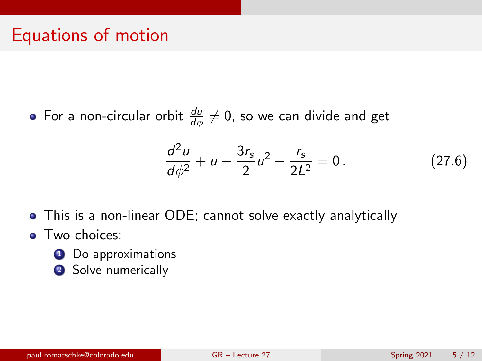### Equations of motion

For a non-circular orbit  $\frac{d u}{d \phi} \neq 0$ , so we can divide and get

$$
\frac{d^2u}{d\phi^2} + u - \frac{3r_s}{2}u^2 - \frac{r_s}{2L^2} = 0.
$$
 (27.6)

- This is a non-linear ODE; cannot solve exactly analytically
- **•** Two choices:
	- <sup>1</sup> Do approximations
	- 2 Solve numerically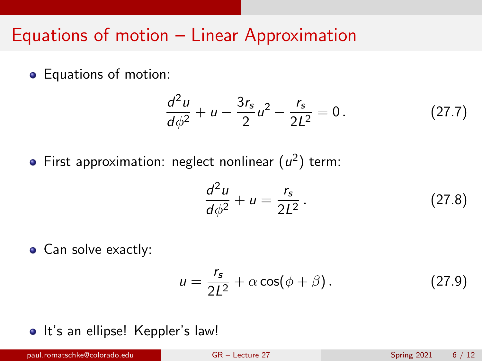#### Equations of motion – Linear Approximation

Equations of motion:

$$
\frac{d^2u}{d\phi^2} + u - \frac{3r_s}{2}u^2 - \frac{r_s}{2L^2} = 0.
$$
 (27.7)

First approximation: neglect nonlinear  $(u^2)$  term:

$$
\frac{d^2u}{d\phi^2} + u = \frac{r_s}{2L^2}.
$$
 (27.8)

• Can solve exactly:

$$
u = \frac{r_s}{2L^2} + \alpha \cos(\phi + \beta). \tag{27.9}
$$

• It's an ellipse! Keppler's law!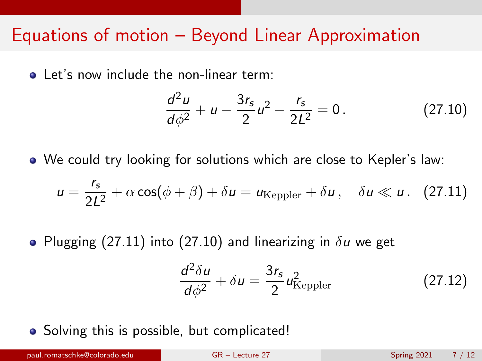#### Equations of motion – Beyond Linear Approximation

**a** Let's now include the non-linear term:

<span id="page-6-1"></span>
$$
\frac{d^2u}{d\phi^2} + u - \frac{3r_s}{2}u^2 - \frac{r_s}{2L^2} = 0.
$$
 (27.10)

We could try looking for solutions which are close to Kepler's law:

<span id="page-6-0"></span>
$$
u = \frac{r_s}{2L^2} + \alpha \cos(\phi + \beta) + \delta u = u_{\text{Keppler}} + \delta u, \quad \delta u \ll u. \quad (27.11)
$$

• Plugging [\(27.11\)](#page-6-0) into [\(27.10\)](#page-6-1) and linearizing in  $\delta u$  we get

$$
\frac{d^2\delta u}{d\phi^2} + \delta u = \frac{3r_s}{2}u_{\text{Keppler}}^2
$$
 (27.12)

• Solving this is possible, but complicated!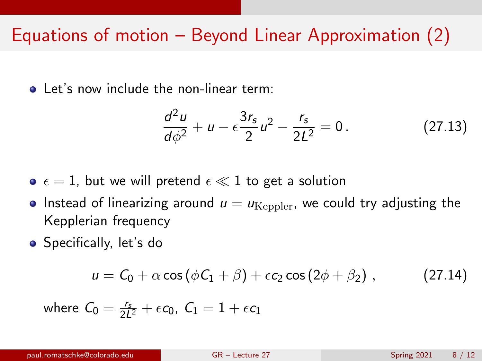## Equations of motion – Beyond Linear Approximation (2)

Let's now include the non-linear term:

<span id="page-7-0"></span>
$$
\frac{d^2u}{d\phi^2} + u - \epsilon \frac{3r_s}{2}u^2 - \frac{r_s}{2L^2} = 0.
$$
 (27.13)

- $\bullet$   $\epsilon = 1$ , but we will pretend  $\epsilon \ll 1$  to get a solution
- Instead of linearizing around  $u = u_{\text{Kenpler}}$ , we could try adjusting the Kepplerian frequency
- Specifically, let's do

$$
u = C_0 + \alpha \cos (\phi C_1 + \beta) + \epsilon c_2 \cos (2\phi + \beta_2), \qquad (27.14)
$$

where  $\mathcal{C}_0 = \frac{r_\mathsf{s}}{2L^2} + \epsilon \mathcal{c}_0$ ,  $\mathcal{C}_1 = 1 + \epsilon \mathcal{c}_1$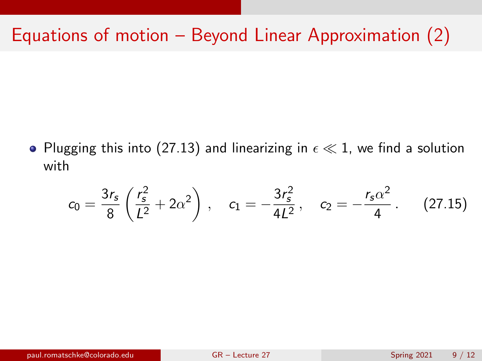# Equations of motion – Beyond Linear Approximation (2)

• Plugging this into [\(27.13\)](#page-7-0) and linearizing in  $\epsilon \ll 1$ , we find a solution with

$$
c_0 = \frac{3r_s}{8} \left( \frac{r_s^2}{L^2} + 2\alpha^2 \right) , \quad c_1 = -\frac{3r_s^2}{4L^2} , \quad c_2 = -\frac{r_s\alpha^2}{4} . \quad (27.15)
$$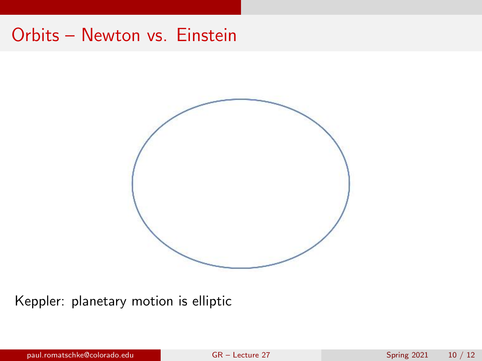## Orbits – Newton vs. Einstein



Keppler: planetary motion is elliptic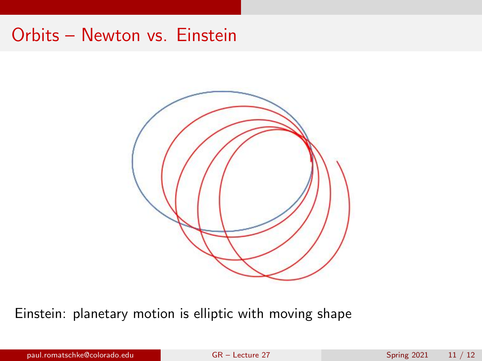## Orbits – Newton vs. Einstein



Einstein: planetary motion is elliptic with moving shape